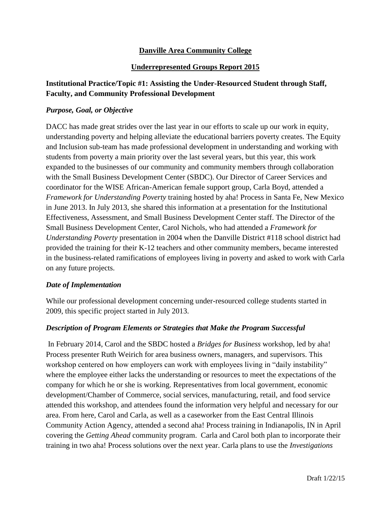## **Danville Area Community College**

## **Underrepresented Groups Report 2015**

# **Institutional Practice/Topic #1: Assisting the Under-Resourced Student through Staff, Faculty, and Community Professional Development**

#### *Purpose, Goal, or Objective*

DACC has made great strides over the last year in our efforts to scale up our work in equity, understanding poverty and helping alleviate the educational barriers poverty creates. The Equity and Inclusion sub-team has made professional development in understanding and working with students from poverty a main priority over the last several years, but this year, this work expanded to the businesses of our community and community members through collaboration with the Small Business Development Center (SBDC). Our Director of Career Services and coordinator for the WISE African-American female support group, Carla Boyd, attended a *Framework for Understanding Poverty* training hosted by aha! Process in Santa Fe, New Mexico in June 2013. In July 2013, she shared this information at a presentation for the Institutional Effectiveness, Assessment, and Small Business Development Center staff. The Director of the Small Business Development Center, Carol Nichols, who had attended a *Framework for Understanding Poverty* presentation in 2004 when the Danville District #118 school district had provided the training for their K-12 teachers and other community members, became interested in the business-related ramifications of employees living in poverty and asked to work with Carla on any future projects.

#### *Date of Implementation*

While our professional development concerning under-resourced college students started in 2009, this specific project started in July 2013.

### *Description of Program Elements or Strategies that Make the Program Successful*

In February 2014, Carol and the SBDC hosted a *Bridges for Business* workshop, led by aha! Process presenter Ruth Weirich for area business owners, managers, and supervisors. This workshop centered on how employers can work with employees living in "daily instability" where the employee either lacks the understanding or resources to meet the expectations of the company for which he or she is working. Representatives from local government, economic development/Chamber of Commerce, social services, manufacturing, retail, and food service attended this workshop, and attendees found the information very helpful and necessary for our area. From here, Carol and Carla, as well as a caseworker from the East Central Illinois Community Action Agency, attended a second aha! Process training in Indianapolis, IN in April covering the *Getting Ahead* community program. Carla and Carol both plan to incorporate their training in two aha! Process solutions over the next year. Carla plans to use the *Investigations*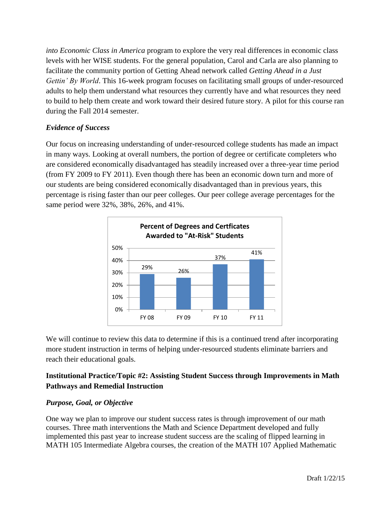*into Economic Class in America* program to explore the very real differences in economic class levels with her WISE students. For the general population, Carol and Carla are also planning to facilitate the community portion of Getting Ahead network called *Getting Ahead in a Just Gettin' By World*. This 16-week program focuses on facilitating small groups of under-resourced adults to help them understand what resources they currently have and what resources they need to build to help them create and work toward their desired future story. A pilot for this course ran during the Fall 2014 semester.

# *Evidence of Success*

Our focus on increasing understanding of under-resourced college students has made an impact in many ways. Looking at overall numbers, the portion of degree or certificate completers who are considered economically disadvantaged has steadily increased over a three-year time period (from FY 2009 to FY 2011). Even though there has been an economic down turn and more of our students are being considered economically disadvantaged than in previous years, this percentage is rising faster than our peer colleges. Our peer college average percentages for the same period were 32%, 38%, 26%, and 41%.



We will continue to review this data to determine if this is a continued trend after incorporating more student instruction in terms of helping under-resourced students eliminate barriers and reach their educational goals.

# **Institutional Practice/Topic #2: Assisting Student Success through Improvements in Math Pathways and Remedial Instruction**

### *Purpose, Goal, or Objective*

One way we plan to improve our student success rates is through improvement of our math courses. Three math interventions the Math and Science Department developed and fully implemented this past year to increase student success are the scaling of flipped learning in MATH 105 Intermediate Algebra courses, the creation of the MATH 107 Applied Mathematic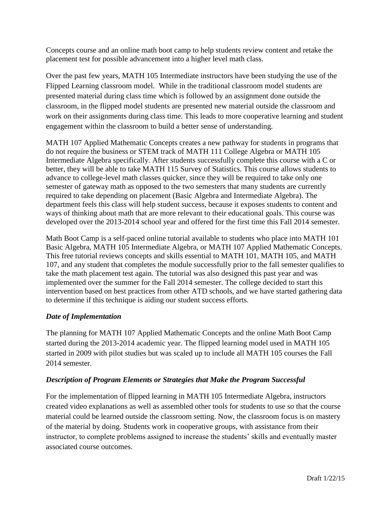Concepts course and an online math boot camp to help students review content and retake the placement test for possible advancement into a higher level math class.

Over the past few years, MATH 105 Intermediate instructors have been studying the use of the Flipped Learning classroom model. While in the traditional classroom model students are presented material during class time which is followed by an assignment done outside the classroom, in the flipped model students are presented new material outside the classroom and work on their assignments during class time. This leads to more cooperative learning and student engagement within the classroom to build a better sense of understanding.

MATH 107 Applied Mathematic Concepts creates a new pathway for students in programs that do not require the business or STEM track of MATH 111 College Algebra or MATH 105 Intermediate Algebra specifically. After students successfully complete this course with a C or better, they will be able to take MATH 115 Survey of Statistics. This course allows students to advance to college-level math classes quicker, since they will be required to take only one semester of gateway math as opposed to the two semesters that many students are currently required to take depending on placement (Basic Algebra and Intermediate Algebra). The department feels this class will help student success, because it exposes students to content and ways of thinking about math that are more relevant to their educational goals. This course was developed over the 2013-2014 school year and offered for the first time this Fall 2014 semester.

Math Boot Camp is a self-paced online tutorial available to students who place into MATH 101 Basic Algebra, MATH 105 Intermediate Algebra, or MATH 107 Applied Mathematic Concepts. This free tutorial reviews concepts and skills essential to MATH 101, MATH 105, and MATH 107, and any student that completes the module successfully prior to the fall semester qualifies to take the math placement test again. The tutorial was also designed this past year and was implemented over the summer for the Fall 2014 semester. The college decided to start this intervention based on best practices from other ATD schools, and we have started gathering data to determine if this technique is aiding our student success efforts.

# *Date of Implementation*

The planning for MATH 107 Applied Mathematic Concepts and the online Math Boot Camp started during the 2013-2014 academic year. The flipped learning model used in MATH 105 started in 2009 with pilot studies but was scaled up to include all MATH 105 courses the Fall 2014 semester.

### *Description of Program Elements or Strategies that Make the Program Successful*

For the implementation of flipped learning in MATH 105 Intermediate Algebra, instructors created video explanations as well as assembled other tools for students to use so that the course material could be learned outside the classroom setting. Now, the classroom focus is on mastery of the material by doing. Students work in cooperative groups, with assistance from their instructor, to complete problems assigned to increase the students' skills and eventually master associated course outcomes.